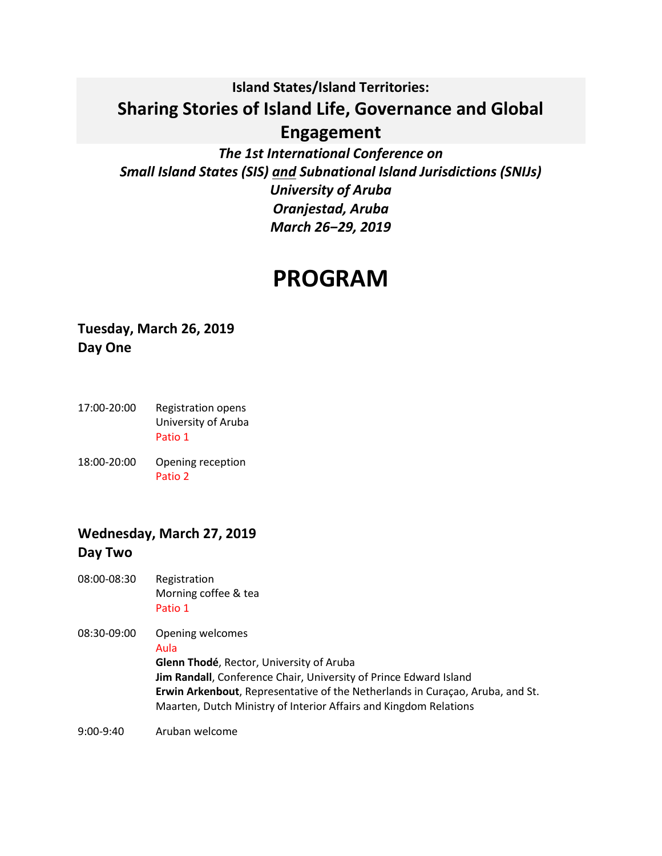# **Island States/Island Territories: Sharing Stories of Island Life, Governance and Global Engagement**

*The 1st International Conference on Small Island States (SIS) and Subnational Island Jurisdictions (SNIJs) University of Aruba Oranjestad, Aruba March 26‒29, 2019*

# **PROGRAM**

# **Tuesday, March 26, 2019 Day One**

- 17:00-20:00 Registration opens University of Aruba Patio 1
- 18:00-20:00 Opening reception Patio 2

# **Wednesday, March 27, 2019 Day Two**

- 08:00-08:30 Registration Morning coffee & tea Patio 1
- 08:30-09:00 Opening welcomes Aula **Glenn Thodé**, Rector, University of Aruba **Jim Randall**, Conference Chair, University of Prince Edward Island **Erwin Arkenbout**, Representative of the Netherlands in Curaçao, Aruba, and St. Maarten, Dutch Ministry of Interior Affairs and Kingdom Relations

9:00-9:40 Aruban welcome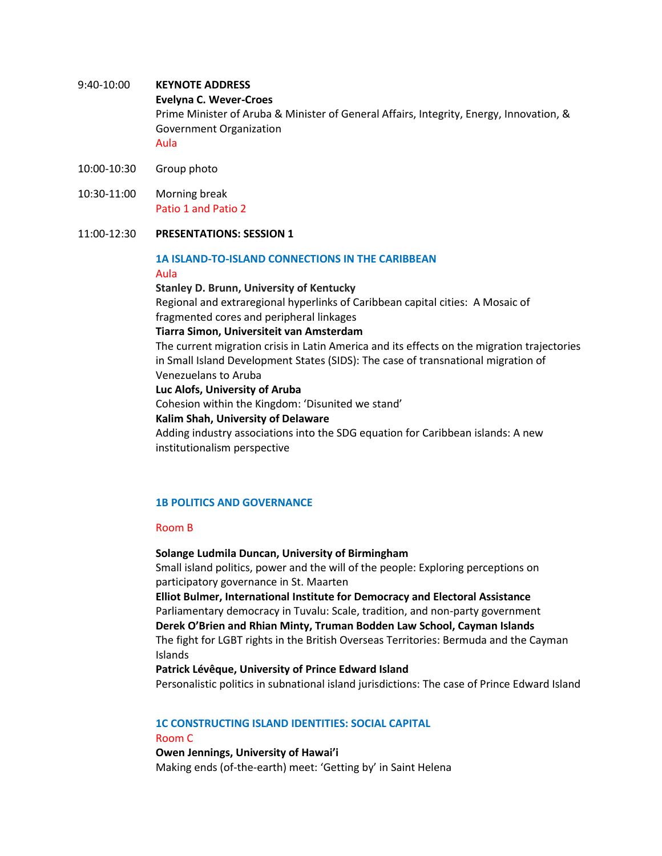# 9:40-10:00 **KEYNOTE ADDRESS Evelyna C. Wever-Croes** Prime Minister of Aruba & Minister of General Affairs, Integrity, Energy, Innovation, & Government Organization Aula

- 10:00-10:30 Group photo
- 10:30-11:00 Morning break Patio 1 and Patio 2

#### 11:00-12:30 **PRESENTATIONS: SESSION 1**

# **1A ISLAND-TO-ISLAND CONNECTIONS IN THE CARIBBEAN**

#### Aula

**Stanley D. Brunn, University of Kentucky** Regional and extraregional hyperlinks of Caribbean capital cities: A Mosaic of fragmented cores and peripheral linkages

**Tiarra Simon, Universiteit van Amsterdam**

The current migration crisis in Latin America and its effects on the migration trajectories in Small Island Development States (SIDS): The case of transnational migration of Venezuelans to Aruba

**Luc Alofs, University of Aruba**

Cohesion within the Kingdom: 'Disunited we stand'

#### **Kalim Shah, University of Delaware**

Adding industry associations into the SDG equation for Caribbean islands: A new institutionalism perspective

# **1B POLITICS AND GOVERNANCE**

# Room B

#### **Solange Ludmila Duncan, University of Birmingham**

Small island politics, power and the will of the people: Exploring perceptions on participatory governance in St. Maarten

**Elliot Bulmer, International Institute for Democracy and Electoral Assistance** Parliamentary democracy in Tuvalu: Scale, tradition, and non-party government **Derek O'Brien and Rhian Minty, Truman Bodden Law School, Cayman Islands** The fight for LGBT rights in the British Overseas Territories: Bermuda and the Cayman Islands

#### **Patrick Lévêque, University of Prince Edward Island**

Personalistic politics in subnational island jurisdictions: The case of Prince Edward Island

# **1C CONSTRUCTING ISLAND IDENTITIES: SOCIAL CAPITAL**

#### Room C

**Owen Jennings, University of Hawai'i** Making ends (of-the-earth) meet: 'Getting by' in Saint Helena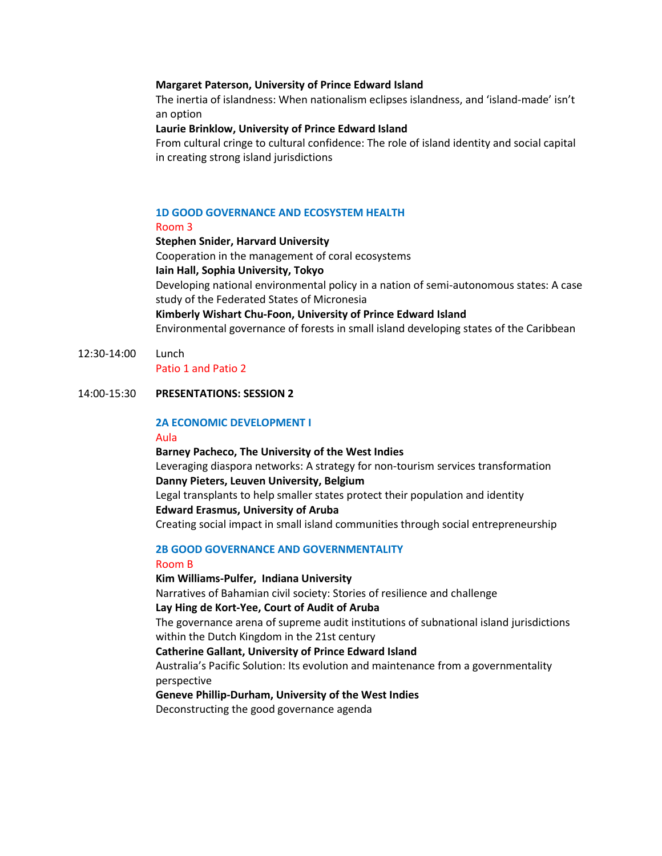#### **Margaret Paterson, University of Prince Edward Island**

The inertia of islandness: When nationalism eclipses islandness, and 'island-made' isn't an option

## **Laurie Brinklow, University of Prince Edward Island**

From cultural cringe to cultural confidence: The role of island identity and social capital in creating strong island jurisdictions

# **1D GOOD GOVERNANCE AND ECOSYSTEM HEALTH**

#### Room 3

**Stephen Snider, Harvard University** Cooperation in the management of coral ecosystems **Iain Hall, Sophia University, Tokyo** Developing national environmental policy in a nation of semi-autonomous states: A case study of the Federated States of Micronesia **Kimberly Wishart Chu-Foon, University of Prince Edward Island** Environmental governance of forests in small island developing states of the Caribbean

#### 12:30-14:00 Lunch Patio 1 and Patio 2

# 14:00-15:30 **PRESENTATIONS: SESSION 2**

# **2A ECONOMIC DEVELOPMENT I**

#### Aula

**Barney Pacheco, The University of the West Indies** Leveraging diaspora networks: A strategy for non-tourism services transformation **Danny Pieters, Leuven University, Belgium** Legal transplants to help smaller states protect their population and identity

# **Edward Erasmus, University of Aruba**

Creating social impact in small island communities through social entrepreneurship

# **2B GOOD GOVERNANCE AND GOVERNMENTALITY**

#### Room B

#### **Kim Williams-Pulfer, Indiana University**

Narratives of Bahamian civil society: Stories of resilience and challenge **Lay Hing de Kort-Yee, Court of Audit of Aruba**

The governance arena of supreme audit institutions of subnational island jurisdictions within the Dutch Kingdom in the 21st century

# **Catherine Gallant, University of Prince Edward Island**

Australia's Pacific Solution: Its evolution and maintenance from a governmentality perspective

# **Geneve Phillip-Durham, University of the West Indies**

Deconstructing the good governance agenda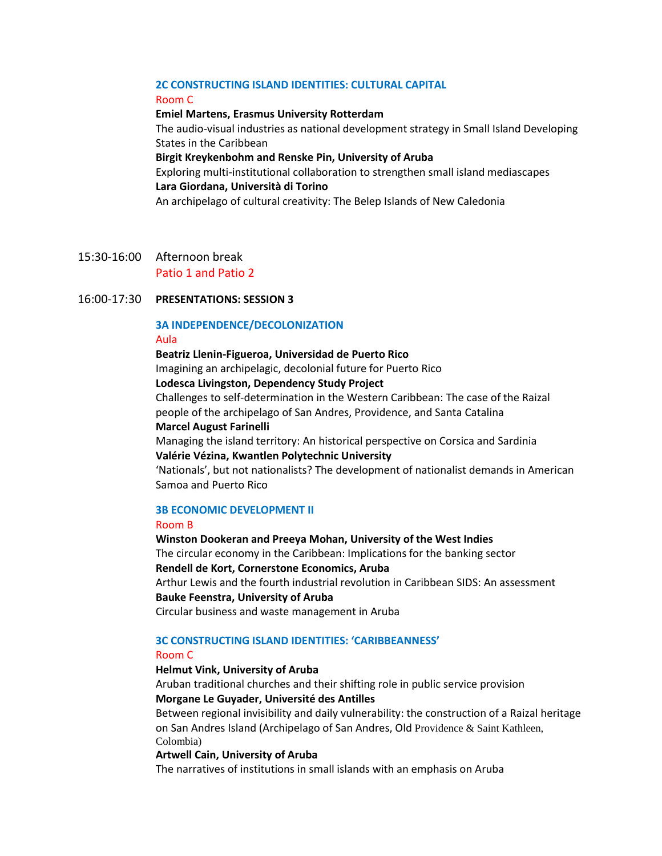# **2C CONSTRUCTING ISLAND IDENTITIES: CULTURAL CAPITAL**

#### Room C

#### **Emiel Martens, Erasmus University Rotterdam**

The audio-visual industries as national development strategy in Small Island Developing States in the Caribbean

#### **Birgit Kreykenbohm and Renske Pin, University of Aruba**

Exploring multi-institutional collaboration to strengthen small island mediascapes **Lara Giordana, Università di Torino** 

An archipelago of cultural creativity: The Belep Islands of New Caledonia

15:30-16:00 Afternoon break Patio 1 and Patio 2

# 16:00-17:30 **PRESENTATIONS: SESSION 3**

# **3A INDEPENDENCE/DECOLONIZATION**

# Aula

**Beatriz Llenin-Figueroa, Universidad de Puerto Rico**  Imagining an archipelagic, decolonial future for Puerto Rico **Lodesca Livingston, Dependency Study Project**

Challenges to self-determination in the Western Caribbean: The case of the Raizal people of the archipelago of San Andres, Providence, and Santa Catalina **Marcel August Farinelli** 

Managing the island territory: An historical perspective on Corsica and Sardinia **Valérie Vézina, Kwantlen Polytechnic University**

'Nationals', but not nationalists? The development of nationalist demands in American Samoa and Puerto Rico

# **3B ECONOMIC DEVELOPMENT II**

#### Room B

**Winston Dookeran and Preeya Mohan, University of the West Indies** The circular economy in the Caribbean: Implications for the banking sector **Rendell de Kort, Cornerstone Economics, Aruba**  Arthur Lewis and the fourth industrial revolution in Caribbean SIDS: An assessment **Bauke Feenstra, University of Aruba** Circular business and waste management in Aruba

## **3C CONSTRUCTING ISLAND IDENTITIES: 'CARIBBEANNESS'**

#### Room C

#### **Helmut Vink, University of Aruba**

Aruban traditional churches and their shifting role in public service provision **Morgane Le Guyader, Université des Antilles** 

Between regional invisibility and daily vulnerability: the construction of a Raizal heritage on San Andres Island (Archipelago of San Andres, Old Providence & Saint Kathleen, Colombia)

#### **Artwell Cain, University of Aruba**

The narratives of institutions in small islands with an emphasis on Aruba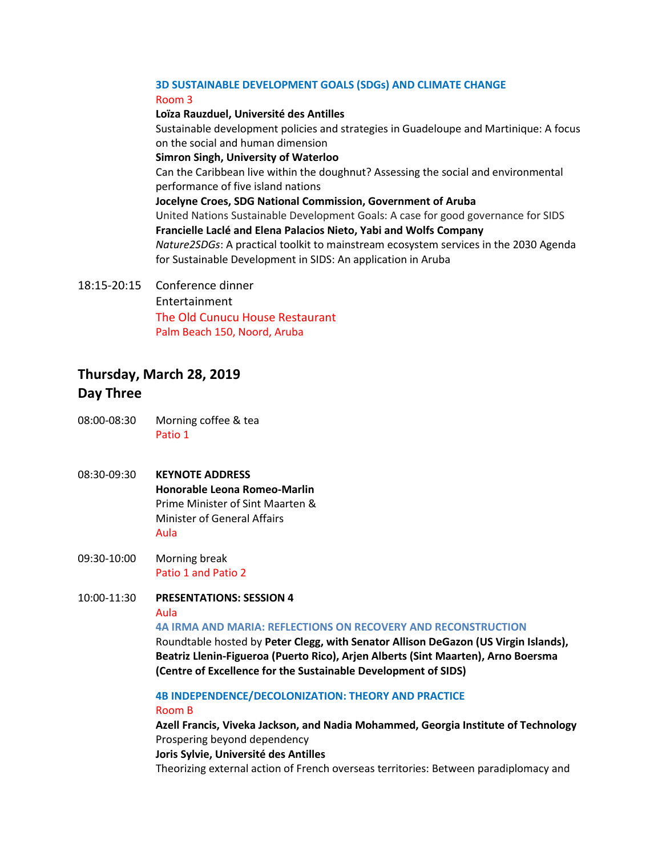# **3D SUSTAINABLE DEVELOPMENT GOALS (SDGs) AND CLIMATE CHANGE** Room 3

# **Loïza Rauzduel, Université des Antilles**

Sustainable development policies and strategies in Guadeloupe and Martinique: A focus on the social and human dimension **Simron Singh, University of Waterloo**

Can the Caribbean live within the doughnut? Assessing the social and environmental performance of five island nations

#### **Jocelyne Croes, SDG National Commission, Government of Aruba**

United Nations Sustainable Development Goals: A case for good governance for SIDS **Francielle Laclé and Elena Palacios Nieto, Yabi and Wolfs Company**

*Nature2SDGs*: A practical toolkit to mainstream ecosystem services in the 2030 Agenda for Sustainable Development in SIDS: An application in Aruba

18:15-20:15 Conference dinner Entertainment The Old Cunucu House Restaurant

Palm Beach 150, Noord, Aruba

# **Thursday, March 28, 2019**

# **Day Three**

- 08:00-08:30 Morning coffee & tea Patio 1
- 08:30-09:30 **KEYNOTE ADDRESS Honorable Leona Romeo-Marlin** Prime Minister of Sint Maarten & Minister of General Affairs Aula
- 09:30-10:00 Morning break Patio 1 and Patio 2
- 10:00-11:30 **PRESENTATIONS: SESSION 4** Aula

# **4A IRMA AND MARIA: REFLECTIONS ON RECOVERY AND RECONSTRUCTION**

Roundtable hosted by **Peter Clegg, with Senator Allison DeGazon (US Virgin Islands), Beatriz Llenin-Figueroa (Puerto Rico), Arjen Alberts (Sint Maarten), Arno Boersma (Centre of Excellence for the Sustainable Development of SIDS)**

**4B INDEPENDENCE/DECOLONIZATION: THEORY AND PRACTICE**

# Room B

**Azell Francis, Viveka Jackson, and Nadia Mohammed, Georgia Institute of Technology**  Prospering beyond dependency

**Joris Sylvie, Université des Antilles**

Theorizing external action of French overseas territories: Between paradiplomacy and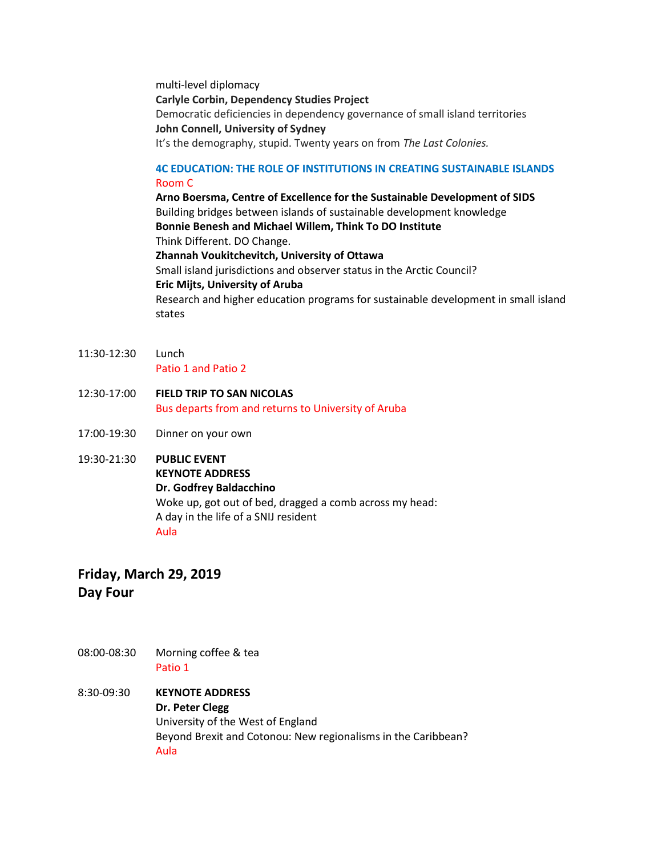multi-level diplomacy **Carlyle Corbin, Dependency Studies Project**  Democratic deficiencies in dependency governance of small island territories **John Connell, University of Sydney** It's the demography, stupid. Twenty years on from *The Last Colonies.*

# **4C EDUCATION: THE ROLE OF INSTITUTIONS IN CREATING SUSTAINABLE ISLANDS** Room C

**Arno Boersma, Centre of Excellence for the Sustainable Development of SIDS** Building bridges between islands of sustainable development knowledge **Bonnie Benesh and Michael Willem, Think To DO Institute** Think Different. DO Change. **Zhannah Voukitchevitch, University of Ottawa** Small island jurisdictions and observer status in the Arctic Council? **Eric Mijts, University of Aruba** Research and higher education programs for sustainable development in small island states

- 11:30-12:30 Lunch Patio 1 and Patio 2
- 12:30-17:00 **FIELD TRIP TO SAN NICOLAS** Bus departs from and returns to University of Aruba
- 17:00-19:30 Dinner on your own
- 19:30-21:30 **PUBLIC EVENT KEYNOTE ADDRESS Dr. Godfrey Baldacchino** Woke up, got out of bed, dragged a comb across my head: A day in the life of a SNIJ resident Aula

# **Friday, March 29, 2019**

**Day Four**

- 08:00-08:30 Morning coffee & tea Patio 1
- 8:30-09:30 **KEYNOTE ADDRESS Dr. Peter Clegg** University of the West of England Beyond Brexit and Cotonou: New regionalisms in the Caribbean? Aula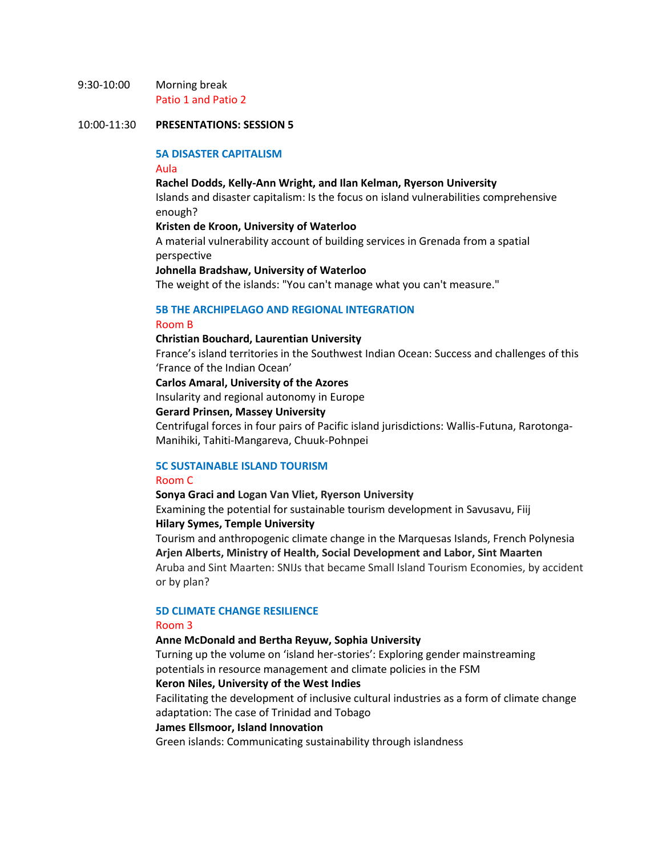## 9:30-10:00 Morning break Patio 1 and Patio 2

#### 10:00-11:30 **PRESENTATIONS: SESSION 5**

## **5A DISASTER CAPITALISM**

#### Aula

**Rachel Dodds, Kelly-Ann Wright, and Ilan Kelman, Ryerson University** Islands and disaster capitalism: Is the focus on island vulnerabilities comprehensive enough?

# **Kristen de Kroon, University of Waterloo**

A material vulnerability account of building services in Grenada from a spatial perspective

**Johnella Bradshaw, University of Waterloo**

The weight of the islands: "You can't manage what you can't measure."

# **5B THE ARCHIPELAGO AND REGIONAL INTEGRATION**

#### Room B

#### **Christian Bouchard, Laurentian University**

France's island territories in the Southwest Indian Ocean: Success and challenges of this 'France of the Indian Ocean'

**Carlos Amaral, University of the Azores** 

Insularity and regional autonomy in Europe

#### **Gerard Prinsen, Massey University**

Centrifugal forces in four pairs of Pacific island jurisdictions: Wallis-Futuna, Rarotonga-Manihiki, Tahiti-Mangareva, Chuuk-Pohnpei

# **5C SUSTAINABLE ISLAND TOURISM**

# Room C

## **Sonya Graci and Logan Van Vliet, Ryerson University**

Examining the potential for sustainable tourism development in Savusavu, Fiij **Hilary Symes, Temple University**

Tourism and anthropogenic climate change in the Marquesas Islands, French Polynesia **Arjen Alberts, Ministry of Health, Social Development and Labor, Sint Maarten** Aruba and Sint Maarten: SNIJs that became Small Island Tourism Economies, by accident or by plan?

## **5D CLIMATE CHANGE RESILIENCE** Room 3

#### **Anne McDonald and Bertha Reyuw, Sophia University**

Turning up the volume on 'island her-stories': Exploring gender mainstreaming potentials in resource management and climate policies in the FSM

#### **Keron Niles, University of the West Indies**

Facilitating the development of inclusive cultural industries as a form of climate change adaptation: The case of Trinidad and Tobago

#### **James Ellsmoor, Island Innovation**

Green islands: Communicating sustainability through islandness